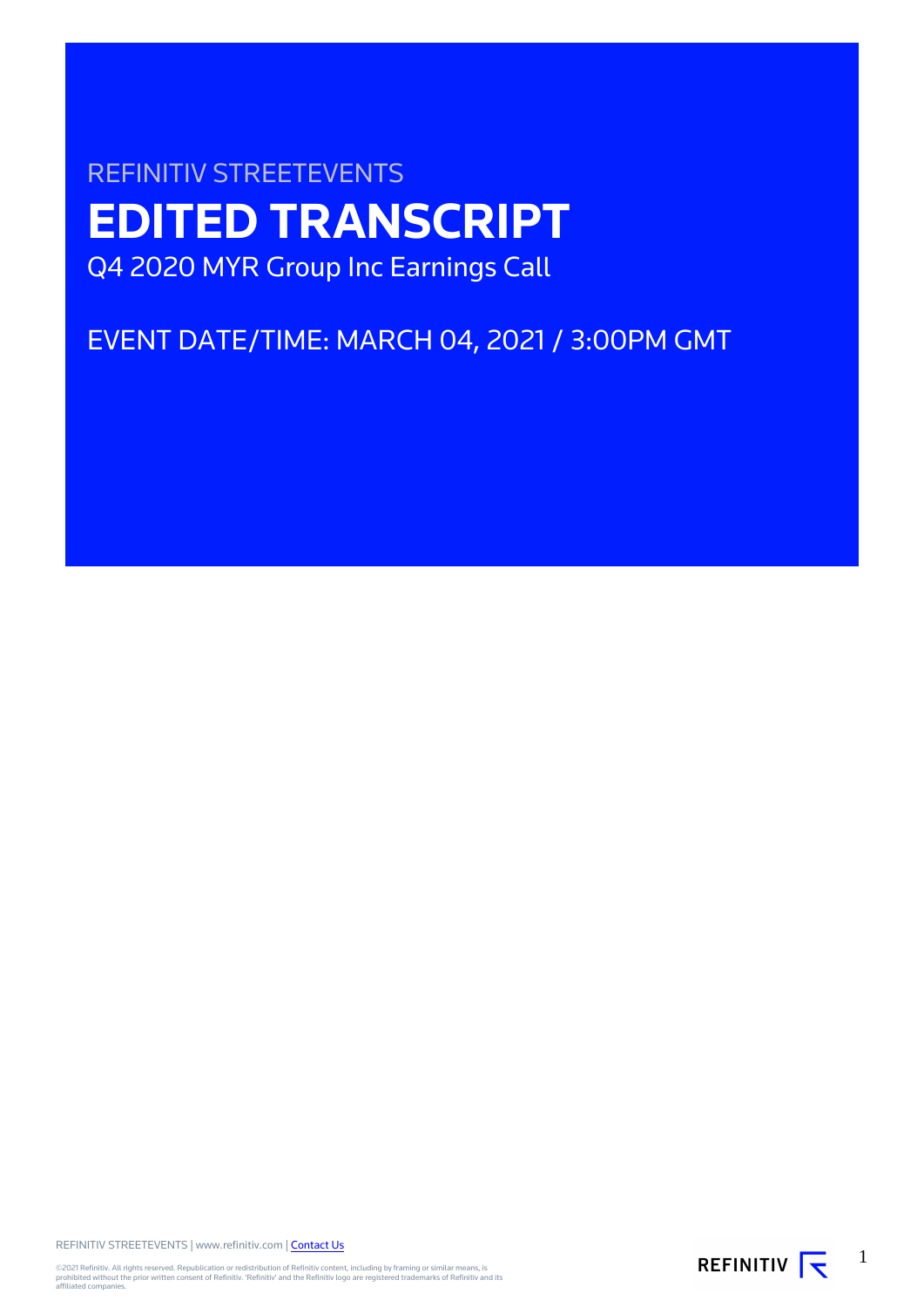# REFINITIV STREETEVENTS **EDITED TRANSCRIPT** Q4 2020 MYR Group Inc Earnings Call

## EVENT DATE/TIME: MARCH 04, 2021 / 3:00PM GMT

REFINITIV STREETEVENTS | www.refinitiv.com | [Contact Us](https://www.refinitiv.com/en/contact-us)

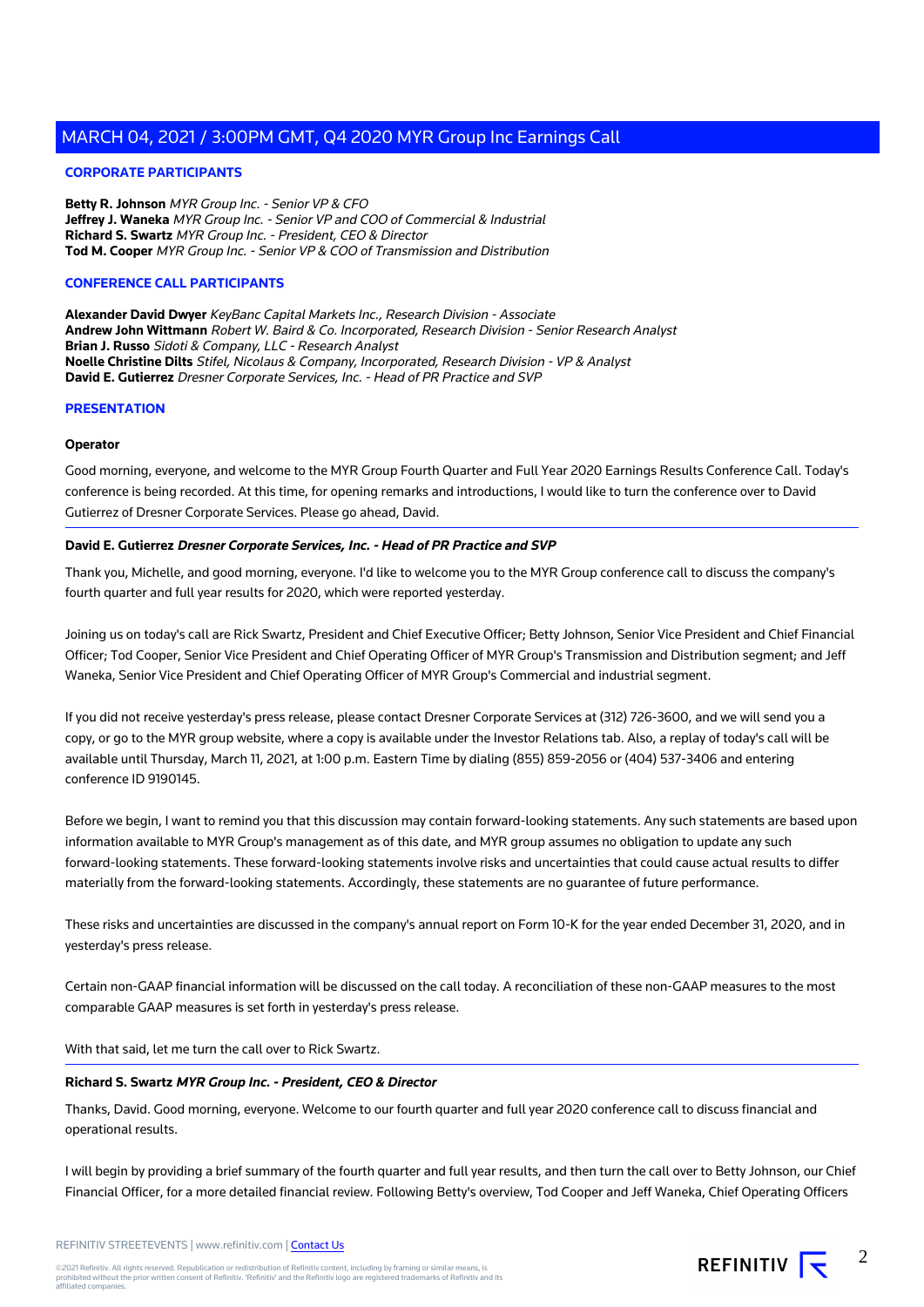#### **CORPORATE PARTICIPANTS**

**Betty R. Johnson** MYR Group Inc. - Senior VP & CFO **Jeffrey J. Waneka** MYR Group Inc. - Senior VP and COO of Commercial & Industrial **Richard S. Swartz** MYR Group Inc. - President, CEO & Director **Tod M. Cooper** MYR Group Inc. - Senior VP & COO of Transmission and Distribution

#### **CONFERENCE CALL PARTICIPANTS**

**Alexander David Dwyer** KeyBanc Capital Markets Inc., Research Division - Associate **Andrew John Wittmann** Robert W. Baird & Co. Incorporated, Research Division - Senior Research Analyst **Brian J. Russo** Sidoti & Company, LLC - Research Analyst **Noelle Christine Dilts** Stifel, Nicolaus & Company, Incorporated, Research Division - VP & Analyst **David E. Gutierrez** Dresner Corporate Services, Inc. - Head of PR Practice and SVP

#### **PRESENTATION**

#### **Operator**

Good morning, everyone, and welcome to the MYR Group Fourth Quarter and Full Year 2020 Earnings Results Conference Call. Today's conference is being recorded. At this time, for opening remarks and introductions, I would like to turn the conference over to David Gutierrez of Dresner Corporate Services. Please go ahead, David.

#### **David E. Gutierrez Dresner Corporate Services, Inc. - Head of PR Practice and SVP**

Thank you, Michelle, and good morning, everyone. I'd like to welcome you to the MYR Group conference call to discuss the company's fourth quarter and full year results for 2020, which were reported yesterday.

Joining us on today's call are Rick Swartz, President and Chief Executive Officer; Betty Johnson, Senior Vice President and Chief Financial Officer; Tod Cooper, Senior Vice President and Chief Operating Officer of MYR Group's Transmission and Distribution segment; and Jeff Waneka, Senior Vice President and Chief Operating Officer of MYR Group's Commercial and industrial segment.

If you did not receive yesterday's press release, please contact Dresner Corporate Services at (312) 726-3600, and we will send you a copy, or go to the MYR group website, where a copy is available under the Investor Relations tab. Also, a replay of today's call will be available until Thursday, March 11, 2021, at 1:00 p.m. Eastern Time by dialing (855) 859-2056 or (404) 537-3406 and entering conference ID 9190145.

Before we begin, I want to remind you that this discussion may contain forward-looking statements. Any such statements are based upon information available to MYR Group's management as of this date, and MYR group assumes no obligation to update any such forward-looking statements. These forward-looking statements involve risks and uncertainties that could cause actual results to differ materially from the forward-looking statements. Accordingly, these statements are no guarantee of future performance.

These risks and uncertainties are discussed in the company's annual report on Form 10-K for the year ended December 31, 2020, and in yesterday's press release.

Certain non-GAAP financial information will be discussed on the call today. A reconciliation of these non-GAAP measures to the most comparable GAAP measures is set forth in yesterday's press release.

With that said, let me turn the call over to Rick Swartz.

#### **Richard S. Swartz MYR Group Inc. - President, CEO & Director**

Thanks, David. Good morning, everyone. Welcome to our fourth quarter and full year 2020 conference call to discuss financial and operational results.

I will begin by providing a brief summary of the fourth quarter and full year results, and then turn the call over to Betty Johnson, our Chief Financial Officer, for a more detailed financial review. Following Betty's overview, Tod Cooper and Jeff Waneka, Chief Operating Officers

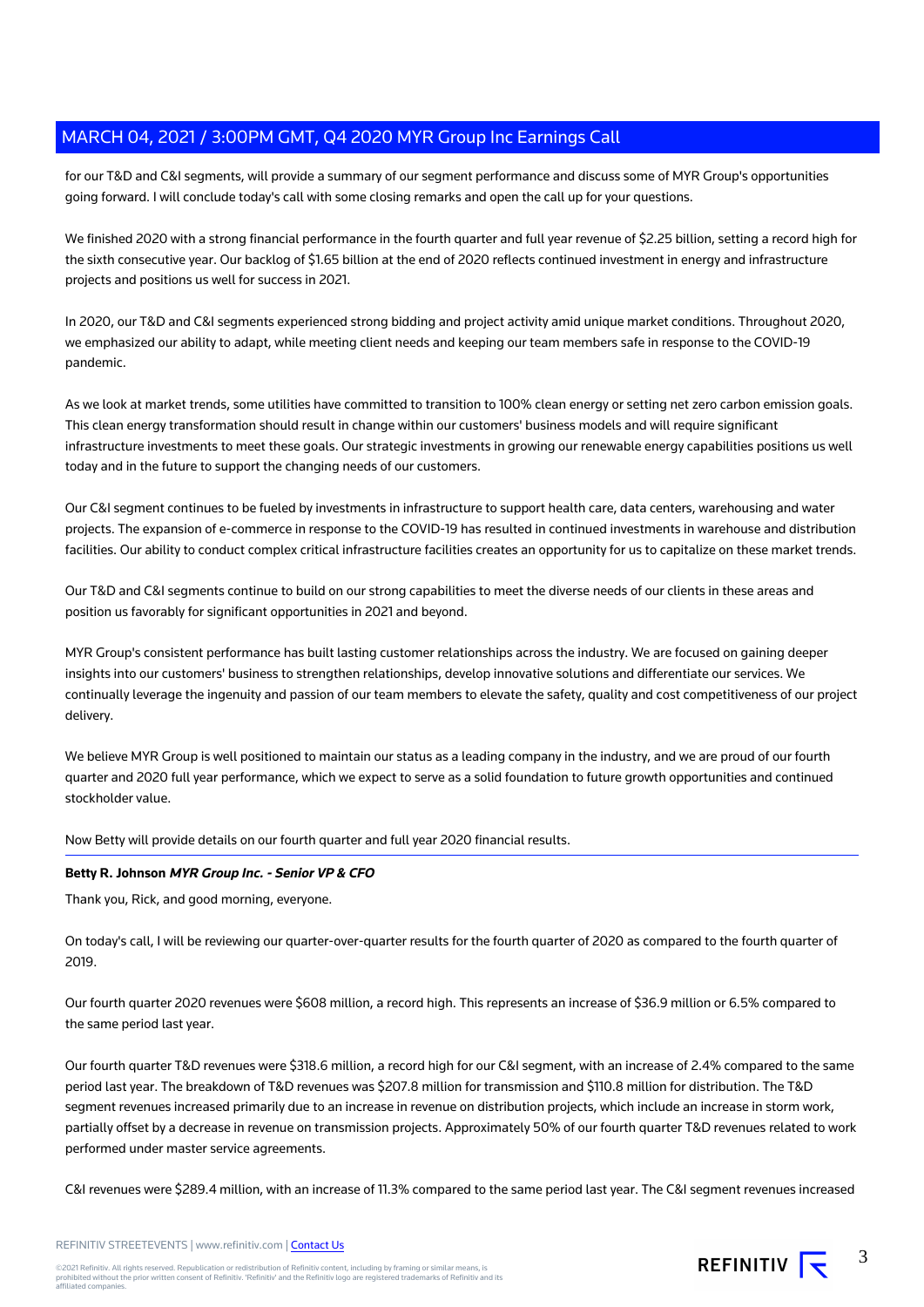for our T&D and C&I segments, will provide a summary of our segment performance and discuss some of MYR Group's opportunities going forward. I will conclude today's call with some closing remarks and open the call up for your questions.

We finished 2020 with a strong financial performance in the fourth quarter and full year revenue of \$2.25 billion, setting a record high for the sixth consecutive year. Our backlog of \$1.65 billion at the end of 2020 reflects continued investment in energy and infrastructure projects and positions us well for success in 2021.

In 2020, our T&D and C&I segments experienced strong bidding and project activity amid unique market conditions. Throughout 2020, we emphasized our ability to adapt, while meeting client needs and keeping our team members safe in response to the COVID-19 pandemic.

As we look at market trends, some utilities have committed to transition to 100% clean energy or setting net zero carbon emission goals. This clean energy transformation should result in change within our customers' business models and will require significant infrastructure investments to meet these goals. Our strategic investments in growing our renewable energy capabilities positions us well today and in the future to support the changing needs of our customers.

Our C&I segment continues to be fueled by investments in infrastructure to support health care, data centers, warehousing and water projects. The expansion of e-commerce in response to the COVID-19 has resulted in continued investments in warehouse and distribution facilities. Our ability to conduct complex critical infrastructure facilities creates an opportunity for us to capitalize on these market trends.

Our T&D and C&I segments continue to build on our strong capabilities to meet the diverse needs of our clients in these areas and position us favorably for significant opportunities in 2021 and beyond.

MYR Group's consistent performance has built lasting customer relationships across the industry. We are focused on gaining deeper insights into our customers' business to strengthen relationships, develop innovative solutions and differentiate our services. We continually leverage the ingenuity and passion of our team members to elevate the safety, quality and cost competitiveness of our project delivery.

We believe MYR Group is well positioned to maintain our status as a leading company in the industry, and we are proud of our fourth quarter and 2020 full year performance, which we expect to serve as a solid foundation to future growth opportunities and continued stockholder value.

Now Betty will provide details on our fourth quarter and full year 2020 financial results.

#### **Betty R. Johnson MYR Group Inc. - Senior VP & CFO**

Thank you, Rick, and good morning, everyone.

On today's call, I will be reviewing our quarter-over-quarter results for the fourth quarter of 2020 as compared to the fourth quarter of 2019.

Our fourth quarter 2020 revenues were \$608 million, a record high. This represents an increase of \$36.9 million or 6.5% compared to the same period last year.

Our fourth quarter T&D revenues were \$318.6 million, a record high for our C&I segment, with an increase of 2.4% compared to the same period last year. The breakdown of T&D revenues was \$207.8 million for transmission and \$110.8 million for distribution. The T&D segment revenues increased primarily due to an increase in revenue on distribution projects, which include an increase in storm work, partially offset by a decrease in revenue on transmission projects. Approximately 50% of our fourth quarter T&D revenues related to work performed under master service agreements.

C&I revenues were \$289.4 million, with an increase of 11.3% compared to the same period last year. The C&I segment revenues increased

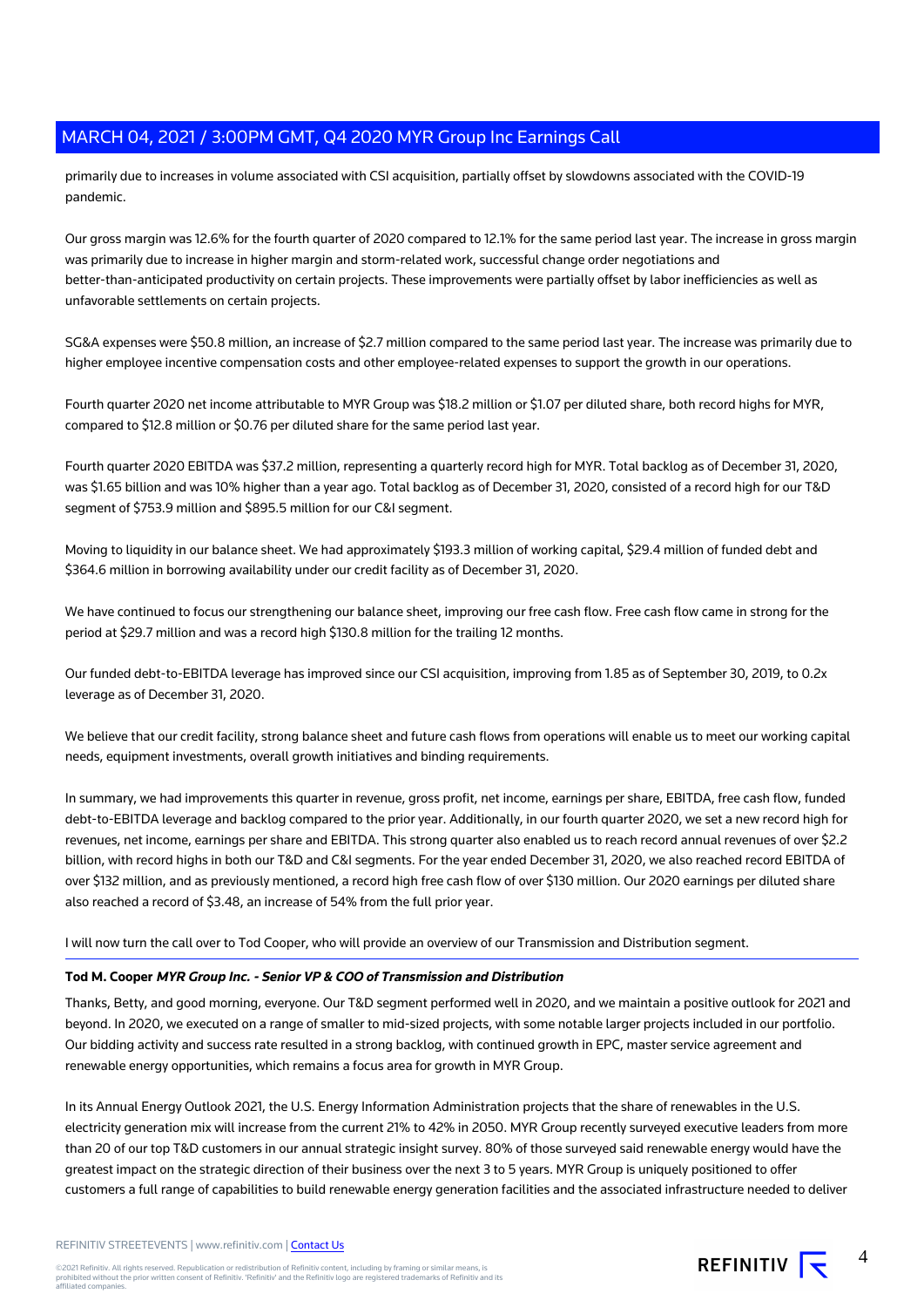primarily due to increases in volume associated with CSI acquisition, partially offset by slowdowns associated with the COVID-19 pandemic.

Our gross margin was 12.6% for the fourth quarter of 2020 compared to 12.1% for the same period last year. The increase in gross margin was primarily due to increase in higher margin and storm-related work, successful change order negotiations and better-than-anticipated productivity on certain projects. These improvements were partially offset by labor inefficiencies as well as unfavorable settlements on certain projects.

SG&A expenses were \$50.8 million, an increase of \$2.7 million compared to the same period last year. The increase was primarily due to higher employee incentive compensation costs and other employee-related expenses to support the growth in our operations.

Fourth quarter 2020 net income attributable to MYR Group was \$18.2 million or \$1.07 per diluted share, both record highs for MYR, compared to \$12.8 million or \$0.76 per diluted share for the same period last year.

Fourth quarter 2020 EBITDA was \$37.2 million, representing a quarterly record high for MYR. Total backlog as of December 31, 2020, was \$1.65 billion and was 10% higher than a year ago. Total backlog as of December 31, 2020, consisted of a record high for our T&D segment of \$753.9 million and \$895.5 million for our C&I segment.

Moving to liquidity in our balance sheet. We had approximately \$193.3 million of working capital, \$29.4 million of funded debt and \$364.6 million in borrowing availability under our credit facility as of December 31, 2020.

We have continued to focus our strengthening our balance sheet, improving our free cash flow. Free cash flow came in strong for the period at \$29.7 million and was a record high \$130.8 million for the trailing 12 months.

Our funded debt-to-EBITDA leverage has improved since our CSI acquisition, improving from 1.85 as of September 30, 2019, to 0.2x leverage as of December 31, 2020.

We believe that our credit facility, strong balance sheet and future cash flows from operations will enable us to meet our working capital needs, equipment investments, overall growth initiatives and binding requirements.

In summary, we had improvements this quarter in revenue, gross profit, net income, earnings per share, EBITDA, free cash flow, funded debt-to-EBITDA leverage and backlog compared to the prior year. Additionally, in our fourth quarter 2020, we set a new record high for revenues, net income, earnings per share and EBITDA. This strong quarter also enabled us to reach record annual revenues of over \$2.2 billion, with record highs in both our T&D and C&I segments. For the year ended December 31, 2020, we also reached record EBITDA of over \$132 million, and as previously mentioned, a record high free cash flow of over \$130 million. Our 2020 earnings per diluted share also reached a record of \$3.48, an increase of 54% from the full prior year.

#### I will now turn the call over to Tod Cooper, who will provide an overview of our Transmission and Distribution segment.

#### **Tod M. Cooper MYR Group Inc. - Senior VP & COO of Transmission and Distribution**

Thanks, Betty, and good morning, everyone. Our T&D segment performed well in 2020, and we maintain a positive outlook for 2021 and beyond. In 2020, we executed on a range of smaller to mid-sized projects, with some notable larger projects included in our portfolio. Our bidding activity and success rate resulted in a strong backlog, with continued growth in EPC, master service agreement and renewable energy opportunities, which remains a focus area for growth in MYR Group.

In its Annual Energy Outlook 2021, the U.S. Energy Information Administration projects that the share of renewables in the U.S. electricity generation mix will increase from the current 21% to 42% in 2050. MYR Group recently surveyed executive leaders from more than 20 of our top T&D customers in our annual strategic insight survey. 80% of those surveyed said renewable energy would have the greatest impact on the strategic direction of their business over the next 3 to 5 years. MYR Group is uniquely positioned to offer customers a full range of capabilities to build renewable energy generation facilities and the associated infrastructure needed to deliver

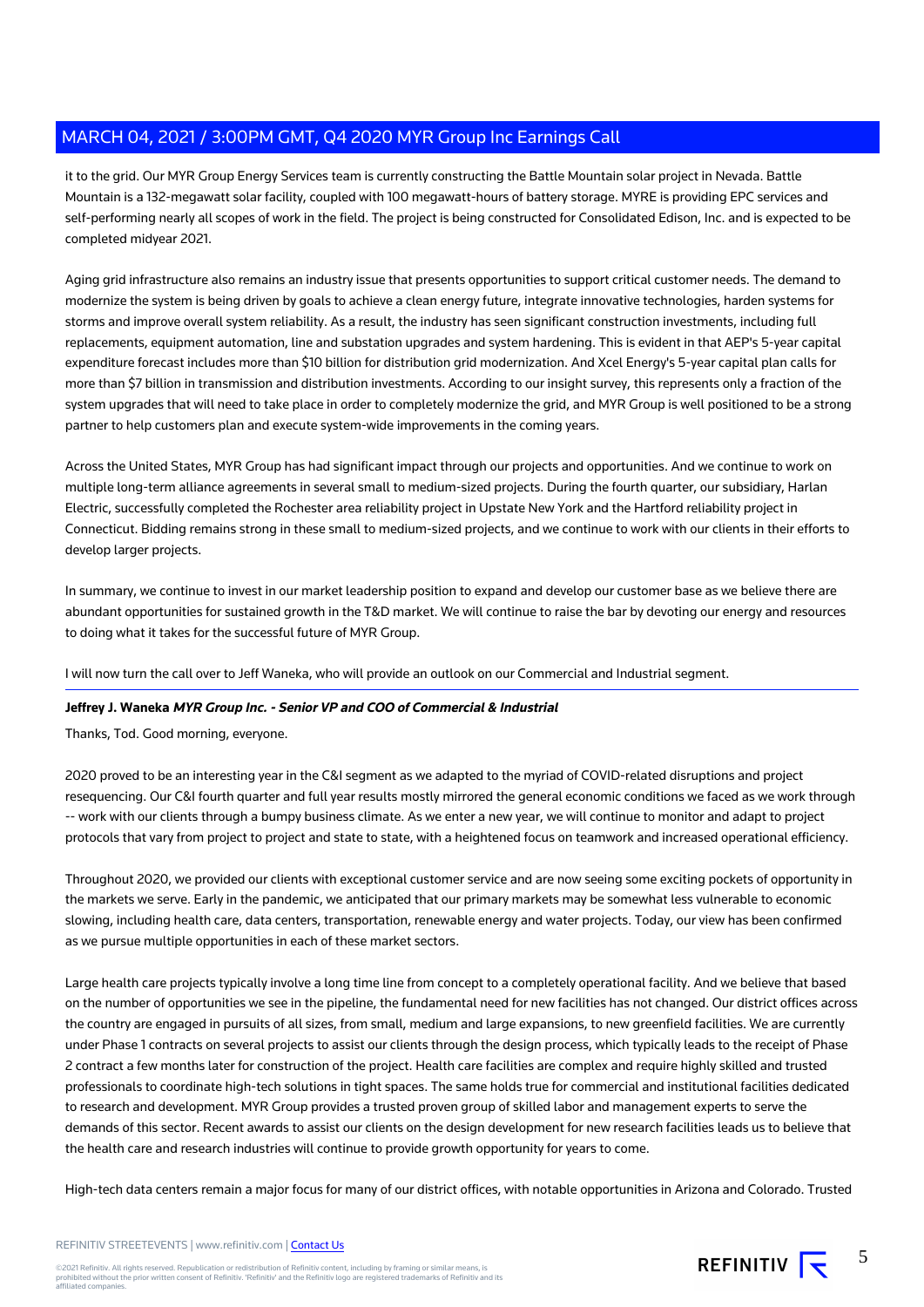it to the grid. Our MYR Group Energy Services team is currently constructing the Battle Mountain solar project in Nevada. Battle Mountain is a 132-megawatt solar facility, coupled with 100 megawatt-hours of battery storage. MYRE is providing EPC services and self-performing nearly all scopes of work in the field. The project is being constructed for Consolidated Edison, Inc. and is expected to be completed midyear 2021.

Aging grid infrastructure also remains an industry issue that presents opportunities to support critical customer needs. The demand to modernize the system is being driven by goals to achieve a clean energy future, integrate innovative technologies, harden systems for storms and improve overall system reliability. As a result, the industry has seen significant construction investments, including full replacements, equipment automation, line and substation upgrades and system hardening. This is evident in that AEP's 5-year capital expenditure forecast includes more than \$10 billion for distribution grid modernization. And Xcel Energy's 5-year capital plan calls for more than \$7 billion in transmission and distribution investments. According to our insight survey, this represents only a fraction of the system upgrades that will need to take place in order to completely modernize the grid, and MYR Group is well positioned to be a strong partner to help customers plan and execute system-wide improvements in the coming years.

Across the United States, MYR Group has had significant impact through our projects and opportunities. And we continue to work on multiple long-term alliance agreements in several small to medium-sized projects. During the fourth quarter, our subsidiary, Harlan Electric, successfully completed the Rochester area reliability project in Upstate New York and the Hartford reliability project in Connecticut. Bidding remains strong in these small to medium-sized projects, and we continue to work with our clients in their efforts to develop larger projects.

In summary, we continue to invest in our market leadership position to expand and develop our customer base as we believe there are abundant opportunities for sustained growth in the T&D market. We will continue to raise the bar by devoting our energy and resources to doing what it takes for the successful future of MYR Group.

I will now turn the call over to Jeff Waneka, who will provide an outlook on our Commercial and Industrial segment.

#### **Jeffrey J. Waneka MYR Group Inc. - Senior VP and COO of Commercial & Industrial**

Thanks, Tod. Good morning, everyone.

2020 proved to be an interesting year in the C&I segment as we adapted to the myriad of COVID-related disruptions and project resequencing. Our C&I fourth quarter and full year results mostly mirrored the general economic conditions we faced as we work through -- work with our clients through a bumpy business climate. As we enter a new year, we will continue to monitor and adapt to project protocols that vary from project to project and state to state, with a heightened focus on teamwork and increased operational efficiency.

Throughout 2020, we provided our clients with exceptional customer service and are now seeing some exciting pockets of opportunity in the markets we serve. Early in the pandemic, we anticipated that our primary markets may be somewhat less vulnerable to economic slowing, including health care, data centers, transportation, renewable energy and water projects. Today, our view has been confirmed as we pursue multiple opportunities in each of these market sectors.

Large health care projects typically involve a long time line from concept to a completely operational facility. And we believe that based on the number of opportunities we see in the pipeline, the fundamental need for new facilities has not changed. Our district offices across the country are engaged in pursuits of all sizes, from small, medium and large expansions, to new greenfield facilities. We are currently under Phase 1 contracts on several projects to assist our clients through the design process, which typically leads to the receipt of Phase 2 contract a few months later for construction of the project. Health care facilities are complex and require highly skilled and trusted professionals to coordinate high-tech solutions in tight spaces. The same holds true for commercial and institutional facilities dedicated to research and development. MYR Group provides a trusted proven group of skilled labor and management experts to serve the demands of this sector. Recent awards to assist our clients on the design development for new research facilities leads us to believe that the health care and research industries will continue to provide growth opportunity for years to come.

High-tech data centers remain a major focus for many of our district offices, with notable opportunities in Arizona and Colorado. Trusted

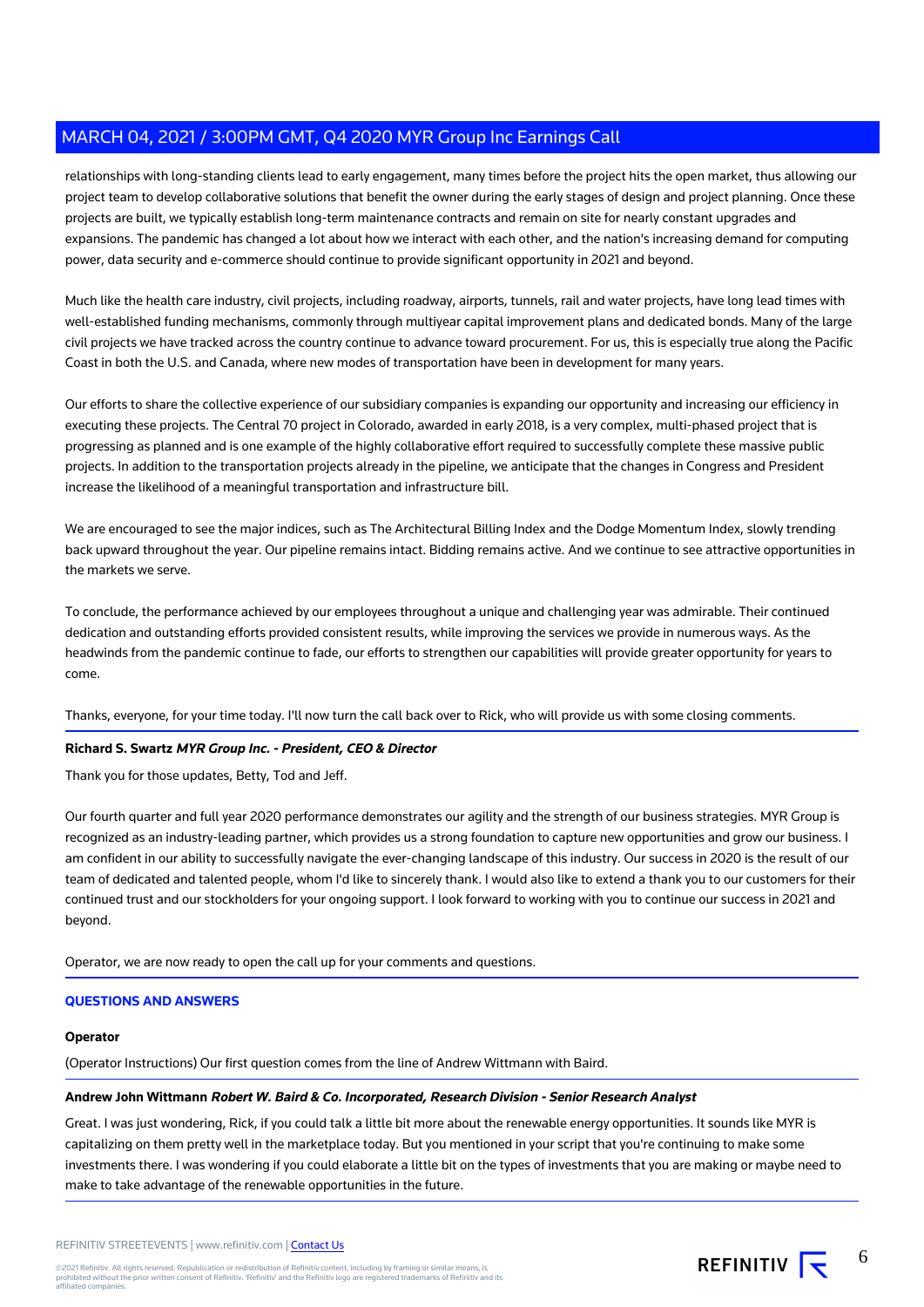relationships with long-standing clients lead to early engagement, many times before the project hits the open market, thus allowing our project team to develop collaborative solutions that benefit the owner during the early stages of design and project planning. Once these projects are built, we typically establish long-term maintenance contracts and remain on site for nearly constant upgrades and expansions. The pandemic has changed a lot about how we interact with each other, and the nation's increasing demand for computing power, data security and e-commerce should continue to provide significant opportunity in 2021 and beyond.

Much like the health care industry, civil projects, including roadway, airports, tunnels, rail and water projects, have long lead times with well-established funding mechanisms, commonly through multiyear capital improvement plans and dedicated bonds. Many of the large civil projects we have tracked across the country continue to advance toward procurement. For us, this is especially true along the Pacific Coast in both the U.S. and Canada, where new modes of transportation have been in development for many years.

Our efforts to share the collective experience of our subsidiary companies is expanding our opportunity and increasing our efficiency in executing these projects. The Central 70 project in Colorado, awarded in early 2018, is a very complex, multi-phased project that is progressing as planned and is one example of the highly collaborative effort required to successfully complete these massive public projects. In addition to the transportation projects already in the pipeline, we anticipate that the changes in Congress and President increase the likelihood of a meaningful transportation and infrastructure bill.

We are encouraged to see the major indices, such as The Architectural Billing Index and the Dodge Momentum Index, slowly trending back upward throughout the year. Our pipeline remains intact. Bidding remains active. And we continue to see attractive opportunities in the markets we serve.

To conclude, the performance achieved by our employees throughout a unique and challenging year was admirable. Their continued dedication and outstanding efforts provided consistent results, while improving the services we provide in numerous ways. As the headwinds from the pandemic continue to fade, our efforts to strengthen our capabilities will provide greater opportunity for years to come.

Thanks, everyone, for your time today. I'll now turn the call back over to Rick, who will provide us with some closing comments.

#### **Richard S. Swartz MYR Group Inc. - President, CEO & Director**

Thank you for those updates, Betty, Tod and Jeff.

Our fourth quarter and full year 2020 performance demonstrates our agility and the strength of our business strategies. MYR Group is recognized as an industry-leading partner, which provides us a strong foundation to capture new opportunities and grow our business. I am confident in our ability to successfully navigate the ever-changing landscape of this industry. Our success in 2020 is the result of our team of dedicated and talented people, whom I'd like to sincerely thank. I would also like to extend a thank you to our customers for their continued trust and our stockholders for your ongoing support. I look forward to working with you to continue our success in 2021 and beyond.

Operator, we are now ready to open the call up for your comments and questions.

#### **QUESTIONS AND ANSWERS**

#### **Operator**

(Operator Instructions) Our first question comes from the line of Andrew Wittmann with Baird.

#### **Andrew John Wittmann Robert W. Baird & Co. Incorporated, Research Division - Senior Research Analyst**

Great. I was just wondering, Rick, if you could talk a little bit more about the renewable energy opportunities. It sounds like MYR is capitalizing on them pretty well in the marketplace today. But you mentioned in your script that you're continuing to make some investments there. I was wondering if you could elaborate a little bit on the types of investments that you are making or maybe need to make to take advantage of the renewable opportunities in the future.



6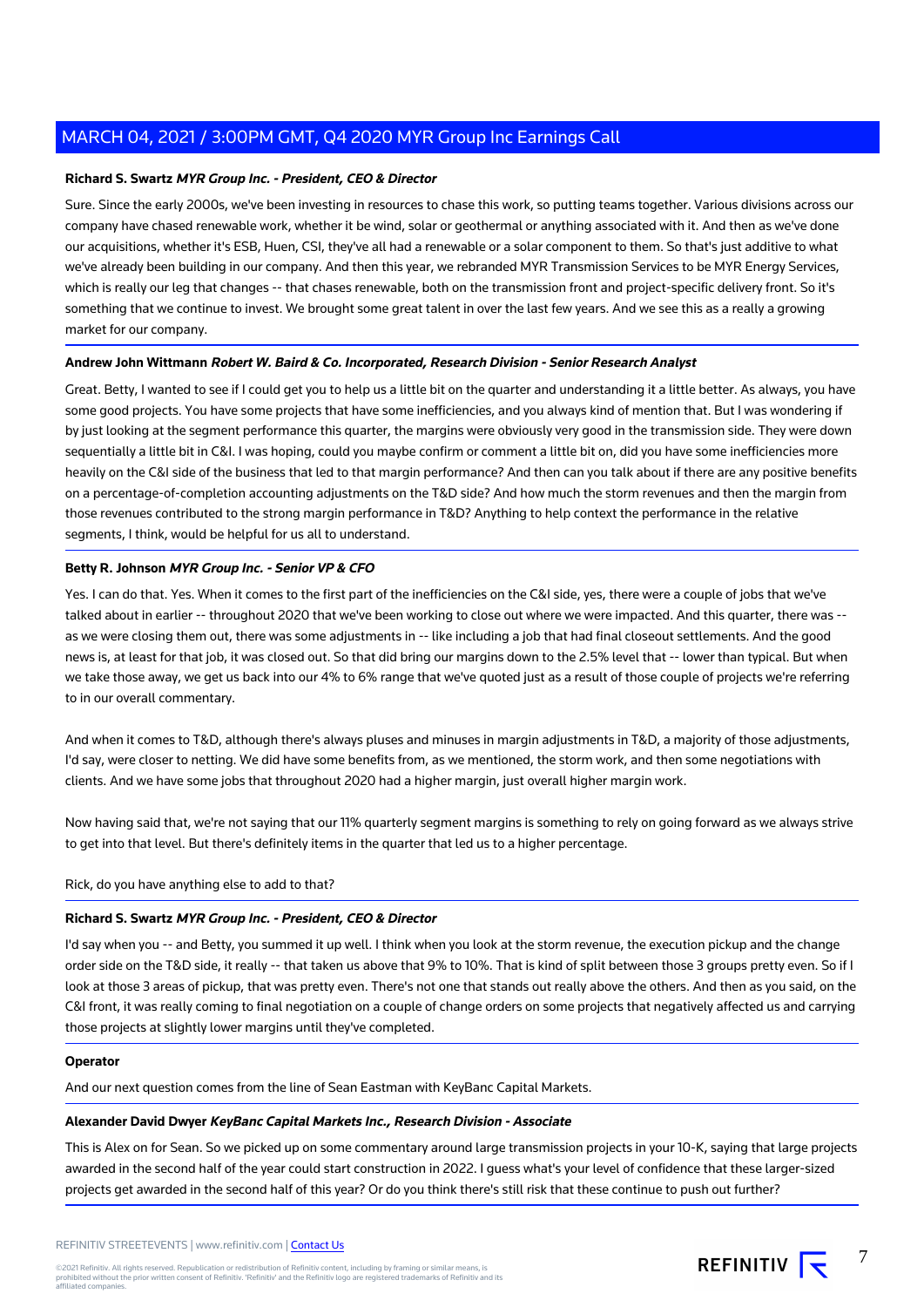#### **Richard S. Swartz MYR Group Inc. - President, CEO & Director**

Sure. Since the early 2000s, we've been investing in resources to chase this work, so putting teams together. Various divisions across our company have chased renewable work, whether it be wind, solar or geothermal or anything associated with it. And then as we've done our acquisitions, whether it's ESB, Huen, CSI, they've all had a renewable or a solar component to them. So that's just additive to what we've already been building in our company. And then this year, we rebranded MYR Transmission Services to be MYR Energy Services, which is really our leg that changes -- that chases renewable, both on the transmission front and project-specific delivery front. So it's something that we continue to invest. We brought some great talent in over the last few years. And we see this as a really a growing market for our company.

#### **Andrew John Wittmann Robert W. Baird & Co. Incorporated, Research Division - Senior Research Analyst**

Great. Betty, I wanted to see if I could get you to help us a little bit on the quarter and understanding it a little better. As always, you have some good projects. You have some projects that have some inefficiencies, and you always kind of mention that. But I was wondering if by just looking at the segment performance this quarter, the margins were obviously very good in the transmission side. They were down sequentially a little bit in C&I. I was hoping, could you maybe confirm or comment a little bit on, did you have some inefficiencies more heavily on the C&I side of the business that led to that margin performance? And then can you talk about if there are any positive benefits on a percentage-of-completion accounting adjustments on the T&D side? And how much the storm revenues and then the margin from those revenues contributed to the strong margin performance in T&D? Anything to help context the performance in the relative segments, I think, would be helpful for us all to understand.

#### **Betty R. Johnson MYR Group Inc. - Senior VP & CFO**

Yes. I can do that. Yes. When it comes to the first part of the inefficiencies on the C&I side, yes, there were a couple of jobs that we've talked about in earlier -- throughout 2020 that we've been working to close out where we were impacted. And this quarter, there was - as we were closing them out, there was some adjustments in -- like including a job that had final closeout settlements. And the good news is, at least for that job, it was closed out. So that did bring our margins down to the 2.5% level that -- lower than typical. But when we take those away, we get us back into our 4% to 6% range that we've quoted just as a result of those couple of projects we're referring to in our overall commentary.

And when it comes to T&D, although there's always pluses and minuses in margin adjustments in T&D, a majority of those adjustments, I'd say, were closer to netting. We did have some benefits from, as we mentioned, the storm work, and then some negotiations with clients. And we have some jobs that throughout 2020 had a higher margin, just overall higher margin work.

Now having said that, we're not saying that our 11% quarterly segment margins is something to rely on going forward as we always strive to get into that level. But there's definitely items in the quarter that led us to a higher percentage.

#### Rick, do you have anything else to add to that?

#### **Richard S. Swartz MYR Group Inc. - President, CEO & Director**

I'd say when you -- and Betty, you summed it up well. I think when you look at the storm revenue, the execution pickup and the change order side on the T&D side, it really -- that taken us above that 9% to 10%. That is kind of split between those 3 groups pretty even. So if I look at those 3 areas of pickup, that was pretty even. There's not one that stands out really above the others. And then as you said, on the C&I front, it was really coming to final negotiation on a couple of change orders on some projects that negatively affected us and carrying those projects at slightly lower margins until they've completed.

#### **Operator**

And our next question comes from the line of Sean Eastman with KeyBanc Capital Markets.

#### **Alexander David Dwyer KeyBanc Capital Markets Inc., Research Division - Associate**

This is Alex on for Sean. So we picked up on some commentary around large transmission projects in your 10-K, saying that large projects awarded in the second half of the year could start construction in 2022. I guess what's your level of confidence that these larger-sized projects get awarded in the second half of this year? Or do you think there's still risk that these continue to push out further?

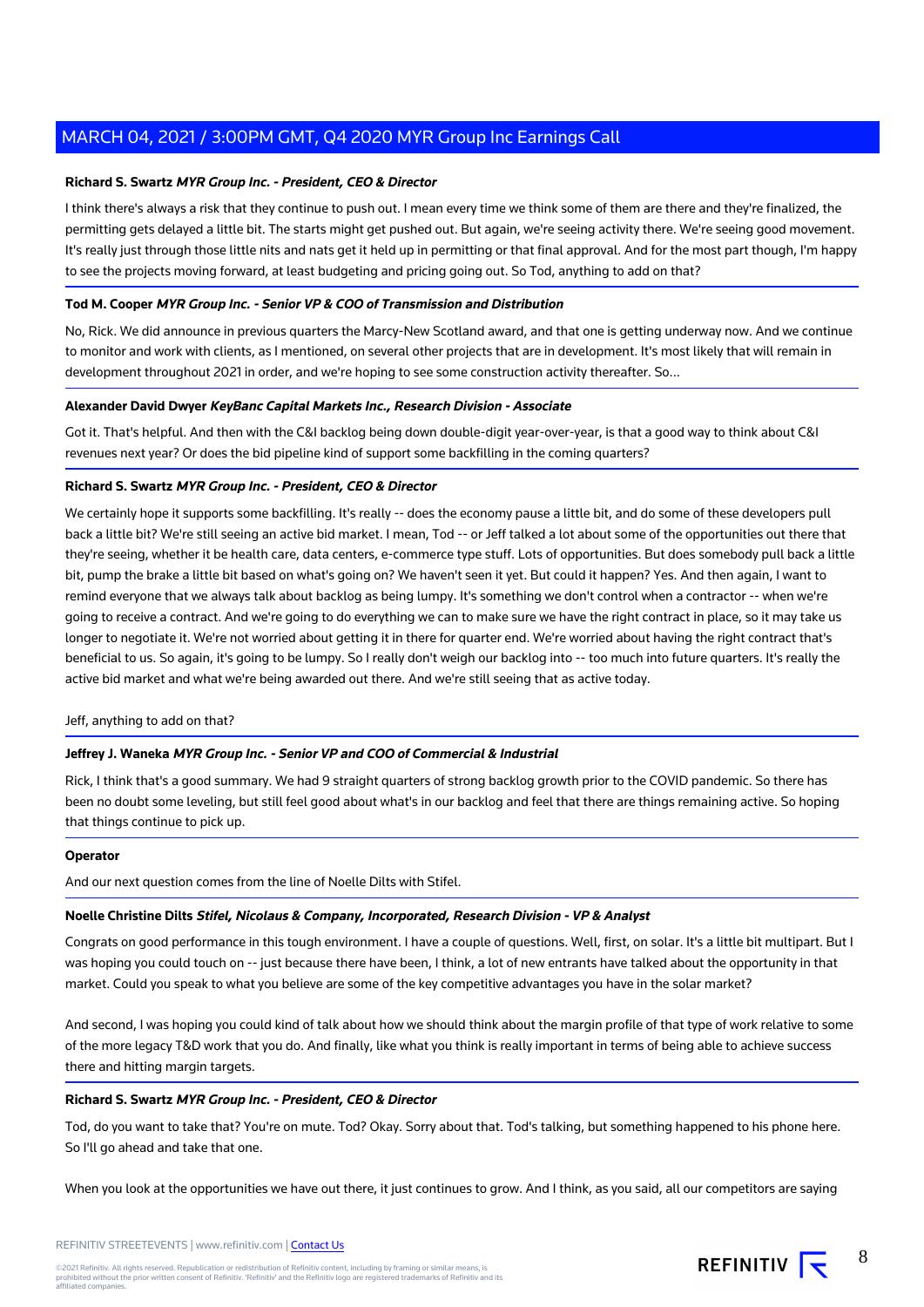#### **Richard S. Swartz MYR Group Inc. - President, CEO & Director**

I think there's always a risk that they continue to push out. I mean every time we think some of them are there and they're finalized, the permitting gets delayed a little bit. The starts might get pushed out. But again, we're seeing activity there. We're seeing good movement. It's really just through those little nits and nats get it held up in permitting or that final approval. And for the most part though, I'm happy to see the projects moving forward, at least budgeting and pricing going out. So Tod, anything to add on that?

#### **Tod M. Cooper MYR Group Inc. - Senior VP & COO of Transmission and Distribution**

No, Rick. We did announce in previous quarters the Marcy-New Scotland award, and that one is getting underway now. And we continue to monitor and work with clients, as I mentioned, on several other projects that are in development. It's most likely that will remain in development throughout 2021 in order, and we're hoping to see some construction activity thereafter. So...

#### **Alexander David Dwyer KeyBanc Capital Markets Inc., Research Division - Associate**

Got it. That's helpful. And then with the C&I backlog being down double-digit year-over-year, is that a good way to think about C&I revenues next year? Or does the bid pipeline kind of support some backfilling in the coming quarters?

#### **Richard S. Swartz MYR Group Inc. - President, CEO & Director**

We certainly hope it supports some backfilling. It's really -- does the economy pause a little bit, and do some of these developers pull back a little bit? We're still seeing an active bid market. I mean, Tod -- or Jeff talked a lot about some of the opportunities out there that they're seeing, whether it be health care, data centers, e-commerce type stuff. Lots of opportunities. But does somebody pull back a little bit, pump the brake a little bit based on what's going on? We haven't seen it yet. But could it happen? Yes. And then again, I want to remind everyone that we always talk about backlog as being lumpy. It's something we don't control when a contractor -- when we're going to receive a contract. And we're going to do everything we can to make sure we have the right contract in place, so it may take us longer to negotiate it. We're not worried about getting it in there for quarter end. We're worried about having the right contract that's beneficial to us. So again, it's going to be lumpy. So I really don't weigh our backlog into -- too much into future quarters. It's really the active bid market and what we're being awarded out there. And we're still seeing that as active today.

#### Jeff, anything to add on that?

#### **Jeffrey J. Waneka MYR Group Inc. - Senior VP and COO of Commercial & Industrial**

Rick, I think that's a good summary. We had 9 straight quarters of strong backlog growth prior to the COVID pandemic. So there has been no doubt some leveling, but still feel good about what's in our backlog and feel that there are things remaining active. So hoping that things continue to pick up.

#### **Operator**

And our next question comes from the line of Noelle Dilts with Stifel.

#### **Noelle Christine Dilts Stifel, Nicolaus & Company, Incorporated, Research Division - VP & Analyst**

Congrats on good performance in this tough environment. I have a couple of questions. Well, first, on solar. It's a little bit multipart. But I was hoping you could touch on -- just because there have been, I think, a lot of new entrants have talked about the opportunity in that market. Could you speak to what you believe are some of the key competitive advantages you have in the solar market?

And second, I was hoping you could kind of talk about how we should think about the margin profile of that type of work relative to some of the more legacy T&D work that you do. And finally, like what you think is really important in terms of being able to achieve success there and hitting margin targets.

#### **Richard S. Swartz MYR Group Inc. - President, CEO & Director**

Tod, do you want to take that? You're on mute. Tod? Okay. Sorry about that. Tod's talking, but something happened to his phone here. So I'll go ahead and take that one.

When you look at the opportunities we have out there, it just continues to grow. And I think, as you said, all our competitors are saying

©2021 Refinitiv. All rights reserved. Republication or redistribution of Refinitiv content, including by framing or similar means, is<br>prohibited without the prior written consent of Refinitiv. 'Refinitiv' and the Refinitiv affiliated companies.

8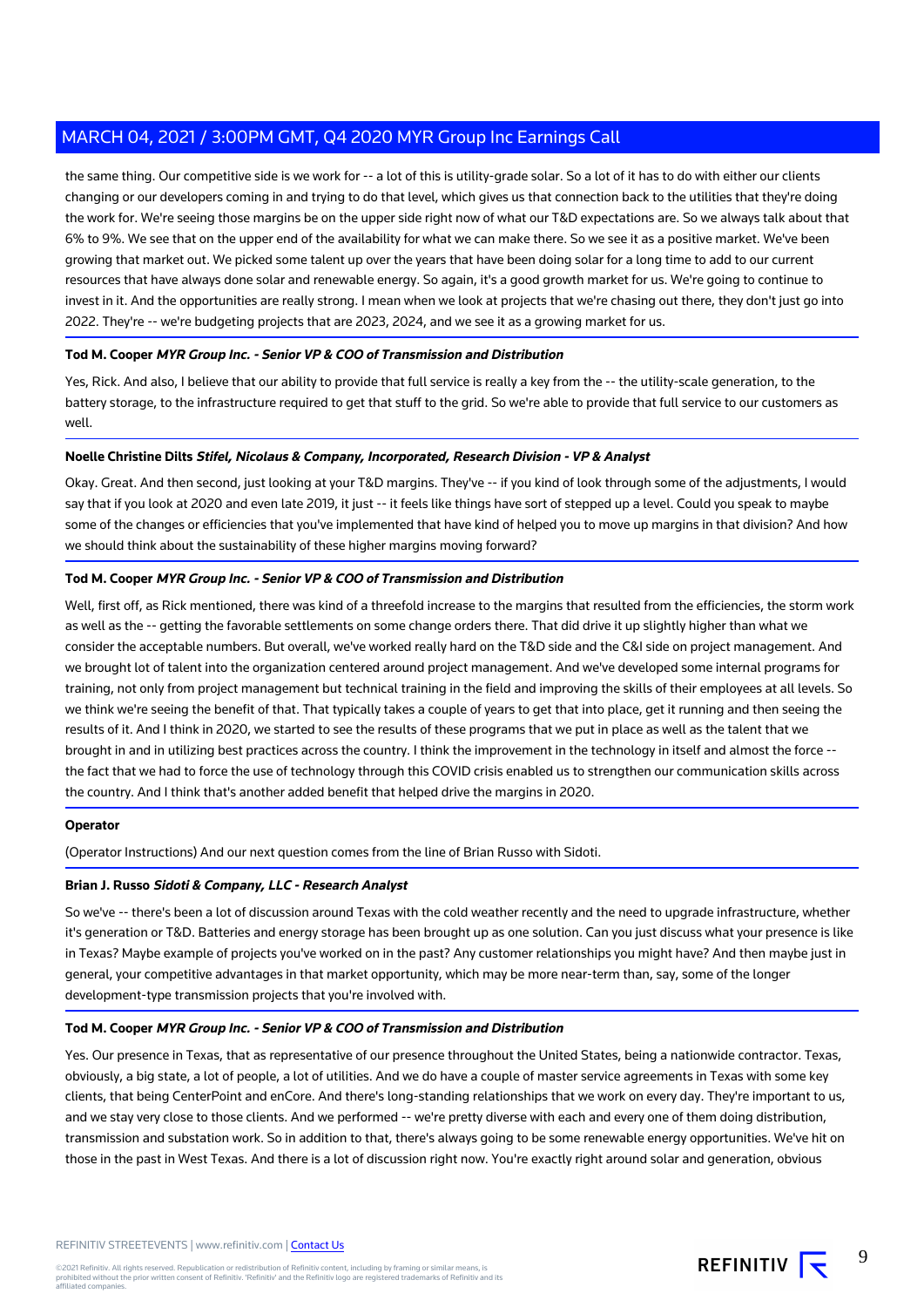the same thing. Our competitive side is we work for -- a lot of this is utility-grade solar. So a lot of it has to do with either our clients changing or our developers coming in and trying to do that level, which gives us that connection back to the utilities that they're doing the work for. We're seeing those margins be on the upper side right now of what our T&D expectations are. So we always talk about that 6% to 9%. We see that on the upper end of the availability for what we can make there. So we see it as a positive market. We've been growing that market out. We picked some talent up over the years that have been doing solar for a long time to add to our current resources that have always done solar and renewable energy. So again, it's a good growth market for us. We're going to continue to invest in it. And the opportunities are really strong. I mean when we look at projects that we're chasing out there, they don't just go into 2022. They're -- we're budgeting projects that are 2023, 2024, and we see it as a growing market for us.

#### **Tod M. Cooper MYR Group Inc. - Senior VP & COO of Transmission and Distribution**

Yes, Rick. And also, I believe that our ability to provide that full service is really a key from the -- the utility-scale generation, to the battery storage, to the infrastructure required to get that stuff to the grid. So we're able to provide that full service to our customers as well.

#### **Noelle Christine Dilts Stifel, Nicolaus & Company, Incorporated, Research Division - VP & Analyst**

Okay. Great. And then second, just looking at your T&D margins. They've -- if you kind of look through some of the adjustments, I would say that if you look at 2020 and even late 2019, it just -- it feels like things have sort of stepped up a level. Could you speak to maybe some of the changes or efficiencies that you've implemented that have kind of helped you to move up margins in that division? And how we should think about the sustainability of these higher margins moving forward?

#### **Tod M. Cooper MYR Group Inc. - Senior VP & COO of Transmission and Distribution**

Well, first off, as Rick mentioned, there was kind of a threefold increase to the margins that resulted from the efficiencies, the storm work as well as the -- getting the favorable settlements on some change orders there. That did drive it up slightly higher than what we consider the acceptable numbers. But overall, we've worked really hard on the T&D side and the C&I side on project management. And we brought lot of talent into the organization centered around project management. And we've developed some internal programs for training, not only from project management but technical training in the field and improving the skills of their employees at all levels. So we think we're seeing the benefit of that. That typically takes a couple of years to get that into place, get it running and then seeing the results of it. And I think in 2020, we started to see the results of these programs that we put in place as well as the talent that we brought in and in utilizing best practices across the country. I think the improvement in the technology in itself and almost the force -the fact that we had to force the use of technology through this COVID crisis enabled us to strengthen our communication skills across the country. And I think that's another added benefit that helped drive the margins in 2020.

#### **Operator**

(Operator Instructions) And our next question comes from the line of Brian Russo with Sidoti.

#### **Brian J. Russo Sidoti & Company, LLC - Research Analyst**

So we've -- there's been a lot of discussion around Texas with the cold weather recently and the need to upgrade infrastructure, whether it's generation or T&D. Batteries and energy storage has been brought up as one solution. Can you just discuss what your presence is like in Texas? Maybe example of projects you've worked on in the past? Any customer relationships you might have? And then maybe just in general, your competitive advantages in that market opportunity, which may be more near-term than, say, some of the longer development-type transmission projects that you're involved with.

#### **Tod M. Cooper MYR Group Inc. - Senior VP & COO of Transmission and Distribution**

Yes. Our presence in Texas, that as representative of our presence throughout the United States, being a nationwide contractor. Texas, obviously, a big state, a lot of people, a lot of utilities. And we do have a couple of master service agreements in Texas with some key clients, that being CenterPoint and enCore. And there's long-standing relationships that we work on every day. They're important to us, and we stay very close to those clients. And we performed -- we're pretty diverse with each and every one of them doing distribution, transmission and substation work. So in addition to that, there's always going to be some renewable energy opportunities. We've hit on those in the past in West Texas. And there is a lot of discussion right now. You're exactly right around solar and generation, obvious

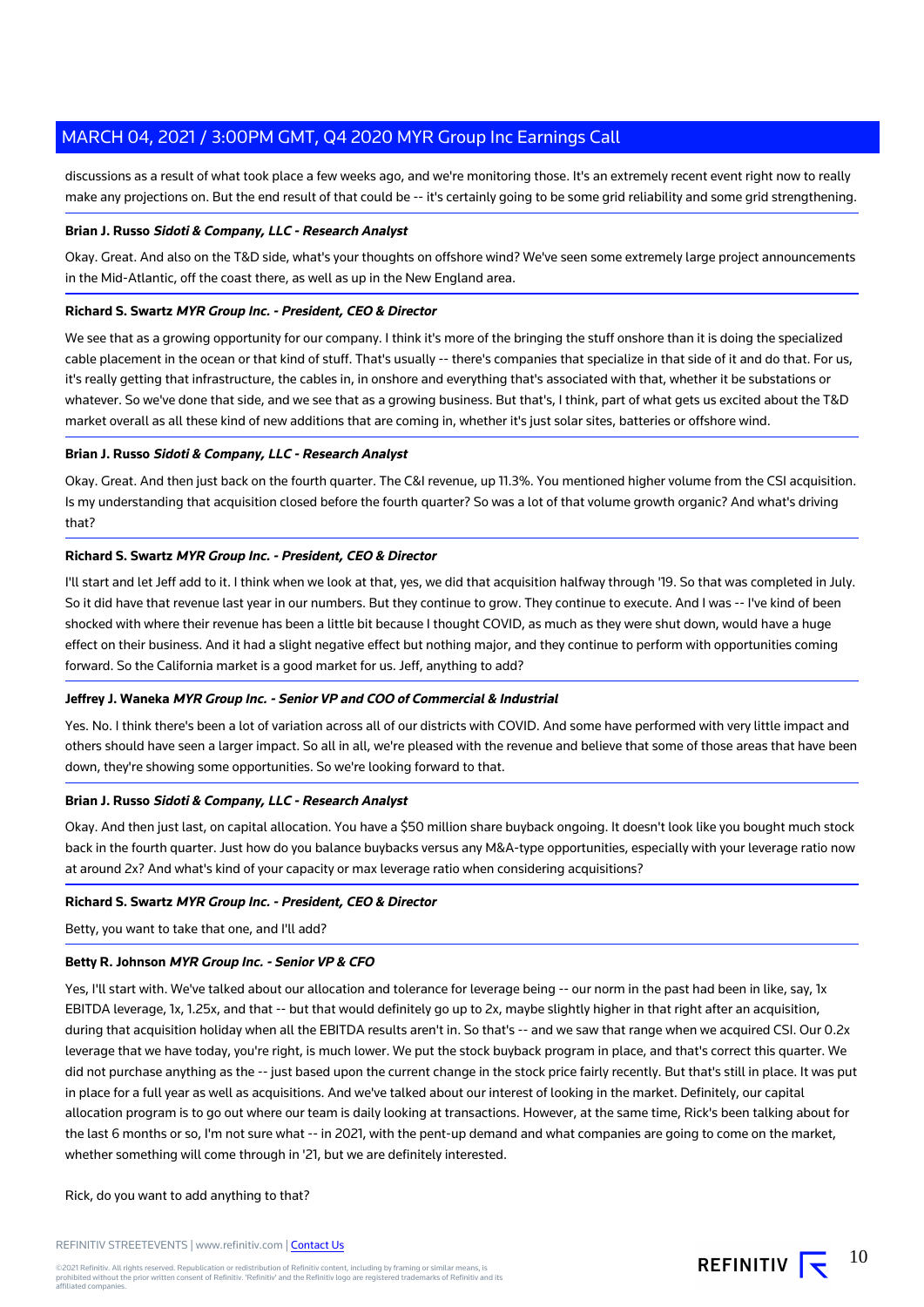discussions as a result of what took place a few weeks ago, and we're monitoring those. It's an extremely recent event right now to really make any projections on. But the end result of that could be -- it's certainly going to be some grid reliability and some grid strengthening.

#### **Brian J. Russo Sidoti & Company, LLC - Research Analyst**

Okay. Great. And also on the T&D side, what's your thoughts on offshore wind? We've seen some extremely large project announcements in the Mid-Atlantic, off the coast there, as well as up in the New England area.

#### **Richard S. Swartz MYR Group Inc. - President, CEO & Director**

We see that as a growing opportunity for our company. I think it's more of the bringing the stuff onshore than it is doing the specialized cable placement in the ocean or that kind of stuff. That's usually -- there's companies that specialize in that side of it and do that. For us, it's really getting that infrastructure, the cables in, in onshore and everything that's associated with that, whether it be substations or whatever. So we've done that side, and we see that as a growing business. But that's, I think, part of what gets us excited about the T&D market overall as all these kind of new additions that are coming in, whether it's just solar sites, batteries or offshore wind.

#### **Brian J. Russo Sidoti & Company, LLC - Research Analyst**

Okay. Great. And then just back on the fourth quarter. The C&I revenue, up 11.3%. You mentioned higher volume from the CSI acquisition. Is my understanding that acquisition closed before the fourth quarter? So was a lot of that volume growth organic? And what's driving that?

#### **Richard S. Swartz MYR Group Inc. - President, CEO & Director**

I'll start and let Jeff add to it. I think when we look at that, yes, we did that acquisition halfway through '19. So that was completed in July. So it did have that revenue last year in our numbers. But they continue to grow. They continue to execute. And I was -- I've kind of been shocked with where their revenue has been a little bit because I thought COVID, as much as they were shut down, would have a huge effect on their business. And it had a slight negative effect but nothing major, and they continue to perform with opportunities coming forward. So the California market is a good market for us. Jeff, anything to add?

#### **Jeffrey J. Waneka MYR Group Inc. - Senior VP and COO of Commercial & Industrial**

Yes. No. I think there's been a lot of variation across all of our districts with COVID. And some have performed with very little impact and others should have seen a larger impact. So all in all, we're pleased with the revenue and believe that some of those areas that have been down, they're showing some opportunities. So we're looking forward to that.

#### **Brian J. Russo Sidoti & Company, LLC - Research Analyst**

Okay. And then just last, on capital allocation. You have a \$50 million share buyback ongoing. It doesn't look like you bought much stock back in the fourth quarter. Just how do you balance buybacks versus any M&A-type opportunities, especially with your leverage ratio now at around 2x? And what's kind of your capacity or max leverage ratio when considering acquisitions?

#### **Richard S. Swartz MYR Group Inc. - President, CEO & Director**

Betty, you want to take that one, and I'll add?

#### **Betty R. Johnson MYR Group Inc. - Senior VP & CFO**

Yes, I'll start with. We've talked about our allocation and tolerance for leverage being -- our norm in the past had been in like, say, 1x EBITDA leverage, 1x, 1.25x, and that -- but that would definitely go up to 2x, maybe slightly higher in that right after an acquisition, during that acquisition holiday when all the EBITDA results aren't in. So that's -- and we saw that range when we acquired CSI. Our 0.2x leverage that we have today, you're right, is much lower. We put the stock buyback program in place, and that's correct this quarter. We did not purchase anything as the -- just based upon the current change in the stock price fairly recently. But that's still in place. It was put in place for a full year as well as acquisitions. And we've talked about our interest of looking in the market. Definitely, our capital allocation program is to go out where our team is daily looking at transactions. However, at the same time, Rick's been talking about for the last 6 months or so, I'm not sure what -- in 2021, with the pent-up demand and what companies are going to come on the market, whether something will come through in '21, but we are definitely interested.

Rick, do you want to add anything to that?

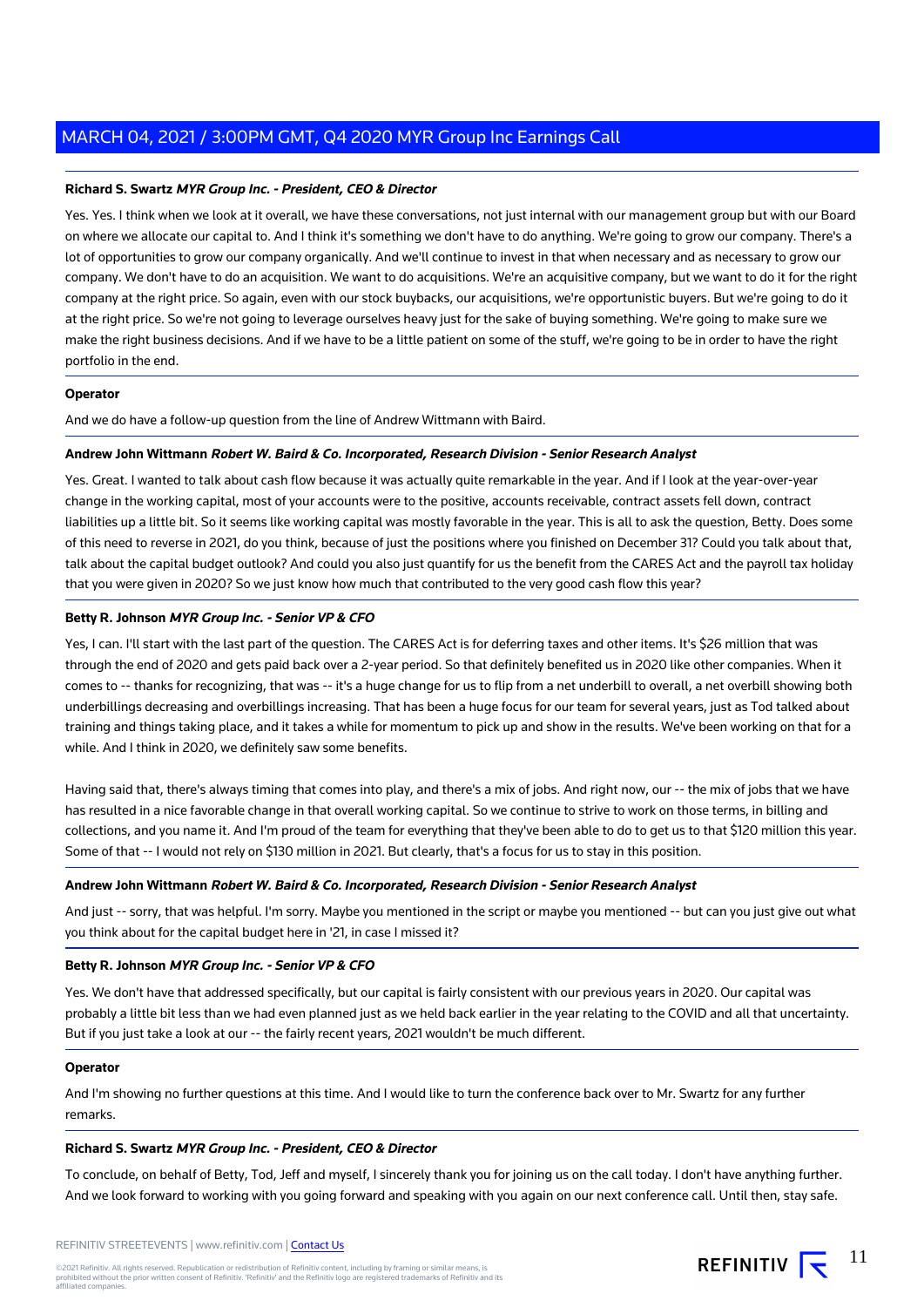#### **Richard S. Swartz MYR Group Inc. - President, CEO & Director**

Yes. Yes. I think when we look at it overall, we have these conversations, not just internal with our management group but with our Board on where we allocate our capital to. And I think it's something we don't have to do anything. We're going to grow our company. There's a lot of opportunities to grow our company organically. And we'll continue to invest in that when necessary and as necessary to grow our company. We don't have to do an acquisition. We want to do acquisitions. We're an acquisitive company, but we want to do it for the right company at the right price. So again, even with our stock buybacks, our acquisitions, we're opportunistic buyers. But we're going to do it at the right price. So we're not going to leverage ourselves heavy just for the sake of buying something. We're going to make sure we make the right business decisions. And if we have to be a little patient on some of the stuff, we're going to be in order to have the right portfolio in the end.

#### **Operator**

And we do have a follow-up question from the line of Andrew Wittmann with Baird.

#### **Andrew John Wittmann Robert W. Baird & Co. Incorporated, Research Division - Senior Research Analyst**

Yes. Great. I wanted to talk about cash flow because it was actually quite remarkable in the year. And if I look at the year-over-year change in the working capital, most of your accounts were to the positive, accounts receivable, contract assets fell down, contract liabilities up a little bit. So it seems like working capital was mostly favorable in the year. This is all to ask the question, Betty. Does some of this need to reverse in 2021, do you think, because of just the positions where you finished on December 31? Could you talk about that, talk about the capital budget outlook? And could you also just quantify for us the benefit from the CARES Act and the payroll tax holiday that you were given in 2020? So we just know how much that contributed to the very good cash flow this year?

#### **Betty R. Johnson MYR Group Inc. - Senior VP & CFO**

Yes, I can. I'll start with the last part of the question. The CARES Act is for deferring taxes and other items. It's \$26 million that was through the end of 2020 and gets paid back over a 2-year period. So that definitely benefited us in 2020 like other companies. When it comes to -- thanks for recognizing, that was -- it's a huge change for us to flip from a net underbill to overall, a net overbill showing both underbillings decreasing and overbillings increasing. That has been a huge focus for our team for several years, just as Tod talked about training and things taking place, and it takes a while for momentum to pick up and show in the results. We've been working on that for a while. And I think in 2020, we definitely saw some benefits.

Having said that, there's always timing that comes into play, and there's a mix of jobs. And right now, our -- the mix of jobs that we have has resulted in a nice favorable change in that overall working capital. So we continue to strive to work on those terms, in billing and collections, and you name it. And I'm proud of the team for everything that they've been able to do to get us to that \$120 million this year. Some of that -- I would not rely on \$130 million in 2021. But clearly, that's a focus for us to stay in this position.

#### **Andrew John Wittmann Robert W. Baird & Co. Incorporated, Research Division - Senior Research Analyst**

And just -- sorry, that was helpful. I'm sorry. Maybe you mentioned in the script or maybe you mentioned -- but can you just give out what you think about for the capital budget here in '21, in case I missed it?

#### **Betty R. Johnson MYR Group Inc. - Senior VP & CFO**

Yes. We don't have that addressed specifically, but our capital is fairly consistent with our previous years in 2020. Our capital was probably a little bit less than we had even planned just as we held back earlier in the year relating to the COVID and all that uncertainty. But if you just take a look at our -- the fairly recent years, 2021 wouldn't be much different.

#### **Operator**

And I'm showing no further questions at this time. And I would like to turn the conference back over to Mr. Swartz for any further remarks.

#### **Richard S. Swartz MYR Group Inc. - President, CEO & Director**

To conclude, on behalf of Betty, Tod, Jeff and myself, I sincerely thank you for joining us on the call today. I don't have anything further. And we look forward to working with you going forward and speaking with you again on our next conference call. Until then, stay safe.